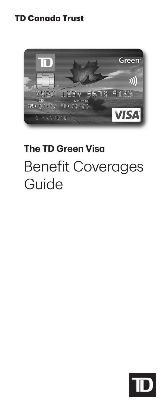## **TD Canada Trust**



# **The TD Green Visa** Benefit Coverages Guide

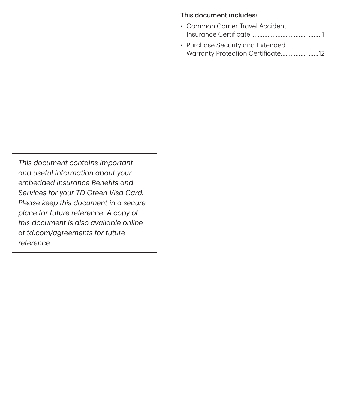#### This document includes:

- Common Carrier Travel Accident ...........................................1 Insurance Certificate
- Purchase Security and Extended Warranty Protection Certificate.......................12

*This document contains important and useful information about your embedded Insurance Benefits and Services for your TD Green Visa Card. Please keep this document in a secure place for future reference. A copy of this document is also available online at [td.com/agreements](http://td.com/agreements) for future reference.*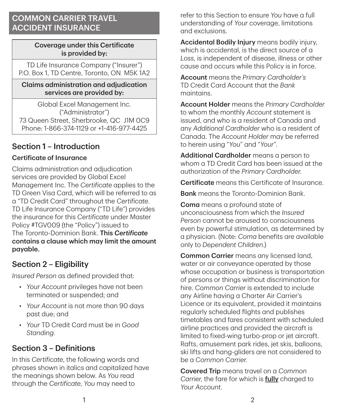## COMMON CARRIER TRAVEL ACCIDENT INSURANCE

#### Coverage under this Certificate is provided by:

TD Life Insurance Company ("Insurer") P.O. Box 1, TD Centre, Toronto, ON M5K 1A2

#### Claims administration and adjudication services are provided by:

Global Excel Management Inc. ("Administrator") 73 Queen Street, Sherbrooke, QC J1M 0C9 Phone: 1‑866‑374‑1129 or +1‑416‑977‑4425

# Section 1 – Introduction

## Certificate of Insurance

Claims administration and adjudication services are provided by Global Excel Management Inc. The *Certificate* applies to the TD Green Visa Card, which will be referred to as a "TD Credit Card" throughout the *Certificate*. TD Life Insurance Company ("TD Life") provides the insurance for this *Certificate* under Master Policy #TGV009 (the "Policy") issued to The Toronto‑Dominion Bank. This *Certificate* contains a clause which may limit the amount payable.

# Section 2 – Eligibility

*Insured Person* as defined provided that:

- *Your Account* privileges have not been terminated or suspended; and
- *Your Account* is not more than 90 days past due; and
- *Your* TD Credit Card must be in *Good Standing*.

# Section 3 – Definitions

In this *Certificate*, the following words and phrases shown in italics and capitalized have the meanings shown below. As *You* read through the *Certificate*, *You* may need to

refer to this Section to ensure *You* have a full understanding of *Your* coverage, limitations and exclusions.

Accidental Bodily Injury means bodily injury, which is accidental, is the direct source of a *Loss*, is independent of disease, illness or other cause and occurs while this Policy is in force.

Account means the *Primary Cardholder's* TD Credit Card Account that the *Bank* maintains.

Account Holder means the *Primary Cardholder* to whom the monthly *Account* statement is issued, and who is a resident of Canada and any *Additional Cardholder* who is a resident of Canada. The *Account Holder* may be referred to herein using "*You*" and "*Your*".

Additional Cardholder means a person to whom a TD Credit Card has been issued at the authorization of the *Primary Cardholder*.

Certificate means this Certificate of Insurance.

**Bank** means the Toronto-Dominion Bank.

Coma means a profound state of unconsciousness from which the *Insured Person* cannot be aroused to consciousness even by powerful stimulation, as determined by a physician. (Note: *Coma* benefits are available only to *Dependent Children*.)

Common Carrier means any licensed land, water or air conveyance operated by those whose occupation or business is transportation of persons or things without discrimination for hire. *Common Carrier* is extended to include any Airline having a Charter Air Carrier's Licence or its equivalent, provided it maintains regularly scheduled flights and publishes timetables and fares consistent with scheduled airline practices and provided the aircraft is limited to fixed-wing turbo-prop or jet gircraft. Rafts, amusement park rides, jet skis, balloons, ski lifts and hang‑gliders are not considered to be a *Common Carrier*.

Covered Trip means travel on a *Common Carrier*, the fare for which is fully charged to *Your Account*.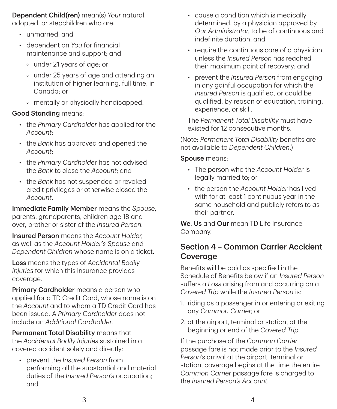Dependent Child(ren) mean(s) *Your* natural, adopted, or stepchildren who are:

- unmarried; and
- dependent on *You* for financial maintenance and support; and
	- under 21 years of age; or
	- under 25 years of age and attending an institution of higher learning, full time, in Canada; or
	- mentally or physically handicapped.

## Good Standing means:

- the *Primary Cardholder* has applied for the *Account*;
- the *Bank* has approved and opened the *Account*;
- the *Primary Cardholde*r has not advised the *Bank* to close the *Account*; and
- the *Bank* has not suspended or revoked credit privileges or otherwise closed the *Account*.

Immediate Family Member means the *Spouse*, parents, grandparents, children age 18 and over, brother or sister of the *Insured Person*.

Insured Person means the *Account Holder*, as well as the *Account Holder's Spouse* and *Dependent Children* whose name is on a ticket.

Loss means the types of *Accidental Bodily Injuries* for which this insurance provides coverage.

Primary Cardholder means a person who applied for a TD Credit Card, whose name is on the *Account* and to whom a TD Credit Card has been issued. A *Primary Cardholder* does not include an *Additional Cardholder*.

Permanent Total Disability means that the *Accidental Bodily Injuries* sustained in a covered accident solely and directly:

• prevent the *Insured Person* from performing all the substantial and material duties of the *Insured Person's* occupation; and

- cause a condition which is medically determined, by a physician approved by *Our Administrator*, to be of continuous and indefinite duration; and
- require the continuous care of a physician, unless the *Insured Person* has reached their maximum point of recovery; and
- prevent the *Insured Person* from engaging in any gainful occupation for which the *Insured Person* is qualified, or could be qualified, by reason of education, training, experience, or skill.

The *Permanent Total Disability* must have existed for 12 consecutive months.

(Note: *Permanent Total Disability* benefits are not available to *Dependent Children*.)

#### Spouse means:

- The person who the *Account Holder* is legally married to; or
- the person the *Account Holder* has lived with for at least 1 continuous year in the same household and publicly refers to as their partner.

We. Us and Our mean TD Life Insurance Company.

# Section 4 – Common Carrier Accident **Coverage**

Benefits will be paid as specified in the Schedule of Benefits below if an *Insured Person* suffers a *Loss* arising from and occurring on a *Covered Trip* while the *Insured Person* is:

- 1. riding as a passenger in or entering or exiting any *Common Carrier*; or
- 2. at the airport, terminal or station, at the beginning or end of the *Covered Trip*.

If the purchase of the *Common Carrier* passage fare is not made prior to the *Insured Person's* arrival at the airport, terminal or station, coverage begins at the time the entire *Common Carrier* passage fare is charged to the *Insured Person's Account*.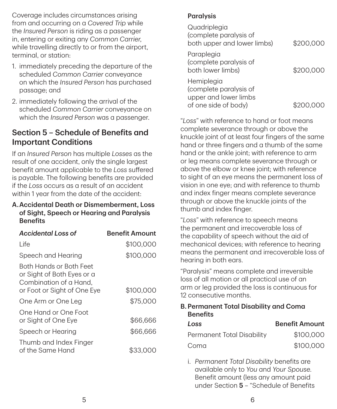Coverage includes circumstances arising from and occurring on a *Covered Trip* while the *Insured Person* is riding as a passenger in, entering or exiting any *Common Carrier*, while travelling directly to or from the girport. terminal, or station:

- 1. immediately preceding the departure of the scheduled *Common Carrier* conveyance on which the *Insured Person* has purchased passage; and
- 2. immediately following the arrival of the scheduled *Common Carrier* conveyance on which the *Insured Person* was a passenger.

# Section 5 – Schedule of Benefits and Important Conditions

If an *Insured Person* has multiple *Losses* as the result of one accident, only the single largest benefit amount applicable to the *Loss* suffered is payable. The following benefits are provided if the *Loss* occurs as a result of an accident within 1 year from the date of the accident:

#### A.Accidental Death or Dismemberment, Loss of Sight, Speech or Hearing and Paralysis **Benefits**

| Accidental Loss of                                                                                             | <b>Benefit Amount</b> |
|----------------------------------------------------------------------------------------------------------------|-----------------------|
| l ife                                                                                                          | \$100,000             |
| Speech and Hearing                                                                                             | \$100,000             |
| Both Hands or Both Feet<br>or Sight of Both Eyes or a<br>Combination of a Hand.<br>or Foot or Sight of One Eye | \$100,000             |
| One Arm or One Leg                                                                                             | \$75,000              |
| One Hand or One Foot<br>or Sight of One Eye                                                                    | \$66,666              |
| Speech or Hearing                                                                                              | \$66,666              |
| Thumb and Index Finger<br>of the Same Hand                                                                     | \$33.00               |

#### **Paralysis**

| Quadriplegia<br>(complete paralysis of<br>both upper and lower limbs)                 | \$200,000 |
|---------------------------------------------------------------------------------------|-----------|
| Paraplegia<br>(complete paralysis of<br>both lower limbs)                             | \$200.000 |
| Hemiplegia<br>(complete paralysis of<br>upper and lower limbs<br>of one side of body) |           |

"*Loss*" with reference to hand or foot means complete severance through or above the knuckle joint of at least four fingers of the same hand or three fingers and a thumb of the same hand or the ankle joint; with reference to arm or leg means complete severance through or above the elbow or knee joint; with reference to sight of an eye means the permanent loss of vision in one eye; and with reference to thumb and index finger means complete severance through or above the knuckle joints of the thumb and index finger.

"*Loss*" with reference to speech means the permanent and irrecoverable loss of the capability of speech without the aid of mechanical devices; with reference to hearing means the permanent and irrecoverable loss of hearing in both ears.

"Paralysis" means complete and irreversible loss of all motion or all practical use of an arm or leg provided the loss is continuous for 12 consecutive months.

#### B. Permanent Total Disability and Coma **Benefits**

| Loss                       | <b>Benefit Amount</b> |
|----------------------------|-----------------------|
| Permanent Total Disability | \$100,000             |
| Coma                       | \$100,000             |

i. *Permanent Total Disability* benefits are available only to *You* and *Your Spouse*. Benefit amount (less any amount paid under Section 5 – "Schedule of Benefits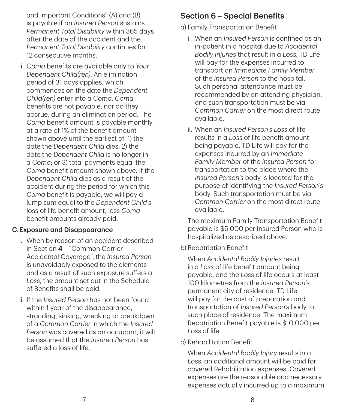and Important Conditions" (A) and (B) is payable if an *Insured Person* sustains *Permanent Total Disability* within 365 days after the date of the accident and the *Permanent Total Disability* continues for 12 consecutive months.

ii. *Coma* benefits are available only to *Your Dependent Child(ren)*. An elimination period of 31 days applies, which commences on the date the *Dependent Child(ren)* enter into a *Coma*. *Coma* benefits are not payable, nor do they accrue, during an elimination period. The *Coma* benefit amount is payable monthly at a rate of 1% of the benefit amount shown above until the earliest of: 1) the date the *Dependent Child* dies; 2) the date the *Dependent Child* is no longer in a *Coma*; or 3) total payments equal the *Coma* benefit amount shown above. If the *Dependent Child* dies as a result of the accident during the period for which this *Coma* benefit is payable, we will pay a lump sum equal to the *Dependent Child's* loss of life benefit amount, less *Coma* benefit amounts already paid.

#### C.Exposure and Disappearance

- i. When by reason of an accident described in Section 4 – "Common Carrier Accidental Coverage", the *Insured Person* is unavoidably exposed to the elements and as a result of such exposure suffers a *Loss*, the amount set out in the Schedule of Benefits shall be paid.
- ii. If the *Insured Person* has not been found within 1 year of the disappearance, stranding, sinking, wrecking or breakdown of a *Common Carrier* in which the *Insured Person* was covered as an occupant, it will be assumed that the *Insured Person* has suffered a loss of life.

## Section 6 – Special Benefits

a) Family Transportation Benefit

- i. When an *Insured Person* is confined as an in‑patient in a hospital due to *Accidental Bodily Injuries* that result in a *Loss*, TD Life will pay for the expenses incurred to transport an *Immediate Family Member* of the *Insured Person* to the hospital. Such personal attendance must be recommended by an attending physician, and such transportation must be via *Common Carrier* on the most direct route available.
- ii. When an *Insured Person's Loss* of life results in a *Loss* of life benefit amount being payable, TD Life will pay for the expenses incurred by an *Immediate Family Member* of the *Insured Person* for transportation to the place where the *Insured Person's* body is located for the purpose of identifying the *Insured Person's* body. Such transportation must be via *Common Carrier* on the most direct route available.

The maximum Family Transportation Benefit payable is \$5,000 per Insured Person who is hospitalized as described above.

b) Repatriation Benefit

When *Accidental Bodily Injuries* result in a *Loss* of life benefit amount being payable, and the *Loss* of life occurs at least 100 kilometres from the *Insured Person's* permanent city of residence, TD Life will pay for the cost of preparation and transportation of *Insured Person's* body to such place of residence. The maximum Repatriation Benefit payable is \$10,000 per *Loss* of life.

c) Rehabilitation Benefit

When *Accidental Bodily Injury* results in a *Loss*, an additional amount will be paid for covered Rehabilitation expenses. Covered expenses are the reasonable and necessary expenses actually incurred up to a maximum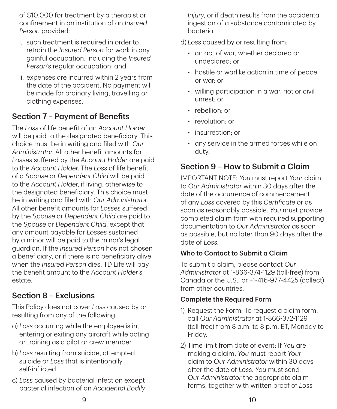of \$10,000 for treatment by a therapist or confinement in an institution of an *Insured Person* provided:

- i. such treatment is required in order to retrain the *Insured Person* for work in any gainful occupation, including the *Insured Person's* regular occupation; and
- ii. expenses are incurred within 2 years from the date of the accident. No payment will be made for ordinary living, travelling or clothing expenses.

# Section 7 – Payment of Benefits

The *Loss* of life benefit of an *Account Holder* will be paid to the designated beneficiary. This choice must be in writing and filed with *Our Administrator*. All other benefit amounts for *Losses* suffered by the *Account Holder* are paid to the *Account Holder*. The *Loss* of life benefit of a *Spouse* or *Dependent Child* will be paid to the *Account Holder*, if living, otherwise to the designated beneficiary. This choice must be in writing and filed with *Our Administrator*. All other benefit amounts for *Losses* suffered by the *Spouse* or *Dependent Child* are paid to the *Spouse* or *Dependent Child*, except that any amount payable for *Losses* sustained by a minor will be paid to the minor's legal guardian. If the *Insured Person* has not chosen a beneficiary, or if there is no beneficiary alive when the *Insured Person* dies, TD Life will pay the benefit amount to the *Account Holder's* estate.

## Section 8 – Exclusions

This Policy does not cover *Loss* caused by or resulting from any of the following:

- a) *Loss* occurring while the employee is in, entering or exiting any aircraft while acting or training as a pilot or crew member.
- b) *Loss* resulting from suicide, attempted suicide or *Loss* that is intentionally self‑inflicted.
- c) *Loss* caused by bacterial infection except bacterial infection of an *Accidental Bodily*

*Injury*, or if death results from the accidental ingestion of a substance contaminated by bacteria.

d) *Loss* caused by or resulting from:

- an act of war, whether declared or undeclared; or
- hostile or warlike action in time of peace or war; or
- willing participation in a war, riot or civil unrest; or
- rebellion: or
- revolution: or
- insurrection; or
- any service in the armed forces while on duty.

# Section 9 – How to Submit a Claim

IMPORTANT NOTE: *You* must report *Your* claim to *Our Administrator* within 30 days after the date of the occurrence of commencement of any *Loss* covered by this *Certificate* or as soon as reasonably possible. *You* must provide completed claim form with required supporting documentation to *Our Administrator* as soon as possible, but no later than 90 days after the date of *Loss*.

## Who to Contact to Submit a Claim

To submit a claim, please contact *Our Administrator* at 1‑866‑374‑1129 (toll‑free) from Canada or the U.S.; or +1‑416‑977‑4425 (collect) from other countries.

#### Complete the Required Form

- 1) Request the Form: To request a claim form, call *Our Administrator* at 1‑866‑372‑1129 (toll‑free) from 8 a.m. to 8 p.m. ET, Monday to Friday.
- 2) Time limit from date of event: If *You* are making a claim, *You* must report *Your* claim to *Our Administrator* within 30 days after the date of *Loss*. *You* must send *Our Administrator* the appropriate claim forms, together with written proof of *Loss*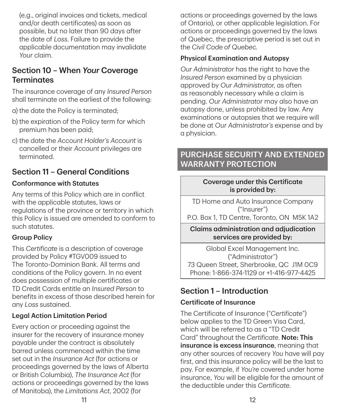(e.g., original invoices and tickets, medical and/or death certificates) as soon as possible, but no later than 90 days after the date of *Loss*. Failure to provide the applicable documentation may invalidate *Your* claim.

# Section 10 – When *Your* Coverage **Terminates**

The insurance coverage of any *Insured Person* shall terminate on the earliest of the following:

- a) the date the Policy is terminated;
- b) the expiration of the Policy term for which premium has been paid;
- c) the date the *Account Holder's Account* is cancelled or their *Account* privileges are terminated.

## Section 11 – General Conditions

#### Conformance with Statutes

Any terms of this Policy which are in conflict with the applicable statutes, laws or regulations of the province or territory in which this Policy is issued are amended to conform to such statutes.

## Group Policy

This *Certificate* is a description of coverage provided by Policy #TGV009 issued to The Toronto‑Dominion Bank. All terms and conditions of the Policy govern. In no event does possession of multiple certificates or TD Credit Cards entitle an *Insured Person* to benefits in excess of those described herein for any *Loss* sustained.

## Legal Action Limitation Period

Every action or proceeding against the insurer for the recovery of insurance money payable under the contract is absolutely barred unless commenced within the time set out in the *Insurance Act* (for actions or proceedings governed by the laws of Alberta or British Columbia), *The Insurance Act* (for actions or proceedings governed by the laws of Manitoba), the *Limitations Act*, 2002 (for

actions or proceedings governed by the laws of Ontario), or other applicable legislation. For actions or proceedings governed by the laws of Quebec, the prescriptive period is set out in the *Civil Code of Quebec*.

#### Physical Examination and Autopsy

*Our Administrator* has the right to have the *Insured Person* examined by a physician approved by *Our Administrator*, as often as reasonably necessary while a claim is pending. *Our Administrator* may also have an autopsy done, unless prohibited by law. Any examinations or autopsies that we require will be done at *Our Administrator's* expense and by a physician.

## PURCHASE SECURITY AND EXTENDED WARRANTY PROTECTION

#### Coverage under this Certificate is provided by:

TD Home and Auto Insurance Company ("Insurer")

P.O. Box 1, TD Centre, Toronto, ON M5K 1A2

#### Claims administration and adjudication services are provided by:

Global Excel Management Inc. ("Administrator") 73 Queen Street, Sherbrooke, QC J1M 0C9 Phone: 1‑866‑374‑1129 or +1‑416‑977‑4425

# Section 1 – Introduction

## Certificate of Insurance

The Certificate of Insurance ("*Certificate*") below applies to the TD Green Visa Card, which will be referred to as a "TD Credit Card" throughout the *Certificate*. Note: This insurance is excess insurance, meaning that any other sources of recovery *You* have will pay first, and this insurance policy will be the last to pay. For example, if *You're* covered under home insurance, *You* will be eligible for the amount of the deductible under this *Certificate*.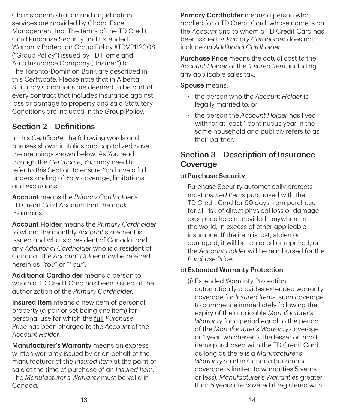Claims administration and adjudication services are provided by Global Excel Management Inc. The terms of the TD Credit Card Purchase Security and Extended Warranty Protection Group Policy #TDVP112008 ("Group Policy") issued by TD Home and Auto Insurance Company ("Insurer") to The Toronto‑Dominion Bank are described in this *Certificate*. Please note that in Alberta, Statutory Conditions are deemed to be part of every contract that includes insurance against loss or damage to property and said Statutory Conditions are included in the Group Policy.

# Section 2 – Definitions

In this *Certificate*, the following words and phrases shown in italics and capitalized have the meanings shown below. As *You* read through the *Certificate*, *You* may need to refer to this Section to ensure *You* have a full understanding of *Your* coverage, limitations and exclusions.

Account means the *Primary Cardholder's* TD Credit Card Account that the *Bank* maintains.

Account Holder means the *Primary Cardholder* to whom the monthly *Account* statement is issued and who is a resident of Canada, and any *Additional Cardholder* who is a resident of Canada. The *Account Holder* may be referred herein as "*You*" or "*Your*".

Additional Cardholder means a person to whom a TD Credit Card has been issued at the authorization of the *Primary Cardholder*.

**Insured Item** means a new item of personal property (a pair or set being one item) for personal use for which the full *Purchase Price* has been charged to the *Account* of the *Account Holder*.

Manufacturer's Warranty means an express written warranty issued by or on behalf of the manufacturer of the *Insured Item* at the point of sale at the time of purchase of an *Insured Item*. The *Manufacturer's Warranty* must be valid in Canada.

**Primary Cardholder** means a person who applied for a TD Credit Card, whose name is on the *Account* and to whom a TD Credit Card has been issued. A *Primary Cardholder* does not include an *Additional Cardholder*.

Purchase Price means the actual cost to the *Account Holder* of the *Insured Item*, including any applicable sales tax.

Spouse means:

- the person who the *Account Holder* is legally married to; or
- the person the *Account Holder* has lived with for at least 1 continuous year in the same household and publicly refers to as their partner.

## Section 3 – Description of Insurance **Coverage**

#### a) Purchase Security

Purchase Security automatically protects most *Insured Items* purchased with the TD Credit Card for 90 days from purchase for all risk of direct physical loss or damage, except as herein provided, anywhere in the world, in excess of other applicable insurance. If the item is lost, stolen or damaged, it will be replaced or repaired, or the *Account Holder* will be reimbursed for the *Purchase Price*.

## b) Extended Warranty Protection

(i) Extended Warranty Protection automatically provides extended warranty coverage for *Insured Items*, such coverage to commence immediately following the expiry of the applicable *Manufacturer's Warranty* for a period equal to the period of the *Manufacturer's Warranty* coverage or 1 year, whichever is the lesser on most items purchased with the TD Credit Card as long as there is a *Manufacturer's Warranty* valid in Canada (automatic coverage is limited to warranties 5 years or less). *Manufacturer's Warranties* greater than 5 years are covered if registered with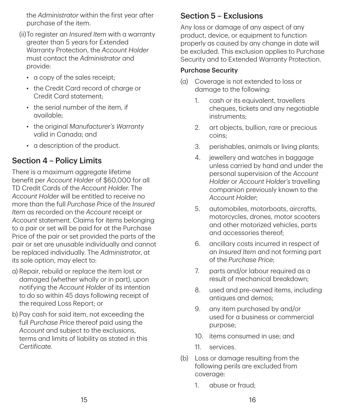the *Administrator* within the first year after purchase of the item.

- (ii)To register an *Insured Item* with a warranty greater than 5 years for Extended Warranty Protection, the *Account Holder* must contact the *Administrator* and provide:
	- a copy of the sales receipt;
	- the Credit Card record of charge or Credit Card statement;
	- the serial number of the item, if available;
	- the original *Manufacturer's Warranty* valid in Canada; and
	- a description of the product.

# Section 4 – Policy Limits

There is a maximum aggregate lifetime benefit per *Account Holde*r of \$60,000 for all TD Credit Cards of the *Account Holder*. The *Account Holder* will be entitled to receive no more than the full *Purchase Price* of the *Insured Item* as recorded on the *Account* receipt or *Account* statement. Claims for items belonging to a pair or set will be paid for at the Purchase Price of the pair or set provided the parts of the pair or set are unusable individually and cannot be replaced individually. The *Administrator*, at its sole option, may elect to:

- a) Repair, rebuild or replace the item lost or damaged (whether wholly or in part), upon notifying the *Account Holder* of its intention to do so within 45 days following receipt of the required Loss Report; or
- b) Pay cash for said item, not exceeding the full *Purchase Price* thereof paid using the *Account* and subject to the exclusions, terms and limits of liability as stated in this *Certificate*.

## Section 5 – Exclusions

Any loss or damage of any aspect of any product, device, or equipment to function properly as caused by any change in date will be excluded. This exclusion applies to Purchase Security and to Extended Warranty Protection.

#### Purchase Security

- (a) Coverage is not extended to loss or damage to the following:
	- 1. cash or its equivalent, travellers cheques, tickets and any negotiable instruments;
	- 2. art objects, bullion, rare or precious coins;
	- 3. perishables, animals or living plants;
	- 4. jewellery and watches in baggage unless carried by hand and under the personal supervision of the *Account Holder* or *Account Holder's* travelling companion previously known to the *Account Holder*;
	- 5. automobiles, motorboats, aircrafts, motorcycles, drones, motor scooters and other motorized vehicles, parts and accessories thereof;
	- 6. ancillary costs incurred in respect of an *Insured Item* and not forming part of the *Purchase Price*;
	- 7. parts and/or labour required as a result of mechanical breakdown;
	- 8. used and pre‑owned items, including antiques and demos;
	- 9. any item purchased by and/or used for a business or commercial purpose;
	- 10. items consumed in use; and
	- 11. services.
- (b) Loss or damage resulting from the following perils are excluded from coverage:
	- 1. abuse or fraud;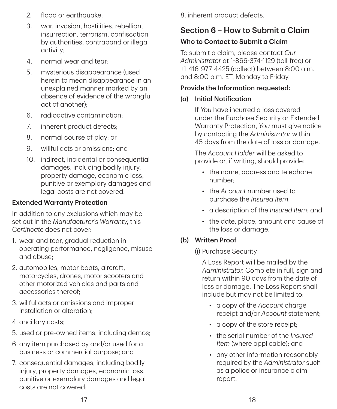- 2. flood or earthquake;
- 3. war, invasion, hostilities, rebellion, insurrection, terrorism, confiscation by authorities, contraband or illegal activity;
- 4. normal wear and tear;
- 5. mysterious disappearance (used herein to mean disappearance in an unexplained manner marked by an absence of evidence of the wrongful act of another);
- 6. radioactive contamination;
- 7. inherent product defects;
- 8. normal course of play; or
- 9. willful acts or omissions; and
- 10. indirect, incidental or consequential damages, including bodily injury, property damage, economic loss, punitive or exemplary damages and legal costs are not covered.

## Extended Warranty Protection

In addition to any exclusions which may be set out in the *Manufacturer's Warranty*, this *Certificate* does not cover:

- 1. wear and tear, gradual reduction in operating performance, negligence, misuse and abuse;
- 2. automobiles, motor boats, aircraft, motorcycles, drones, motor scooters and other motorized vehicles and parts and accessories thereof;
- 3. willful acts or omissions and improper installation or alteration;
- 4. ancillary costs;
- 5. used or pre‑owned items, including demos;
- 6. any item purchased by and/or used for a business or commercial purpose; and
- 7. consequential damages, including bodily injury, property damages, economic loss, punitive or exemplary damages and legal costs are not covered;

8. inherent product defects.

# Section 6 – How to Submit a Claim

## Who to Contact to Submit a Claim

To submit a claim, please contact *Our Administrator* at 1‑866‑374‑1129 (toll‑free) or +1‑416‑977‑4425 (collect) between 8:00 a.m. and 8:00 p.m. ET, Monday to Friday.

#### Provide the Information requested:

## (a) Initial Notification

If *You* have incurred a loss covered under the Purchase Security or Extended Warranty Protection, *You* must give notice by contacting the *Administrator* within 45 days from the date of loss or damage.

The *Account Holder* will be asked to provide or, if writing, should provide:

- the name, address and telephone number;
- the *Account* number used to purchase the *Insured Item*;
- a description of the *Insured Item*; and
- the date, place, amount and cause of the loss or damage.

## (b) Written Proof

(i) Purchase Security

A Loss Report will be mailed by the *Administrator*. Complete in full, sign and return within 90 days from the date of loss or damage. The Loss Report shall include but may not be limited to:

- a copy of the *Account* charge receipt and/or *Account* statement;
- a copy of the store receipt;
- the serial number of the *Insured Item* (where applicable); and
- any other information reasonably required by the *Administrator* such as a police or insurance claim report.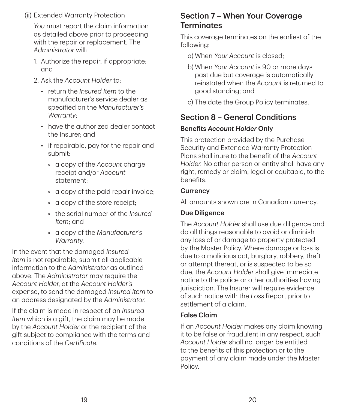(ii) Extended Warranty Protection

*You* must report the claim information as detailed above prior to proceeding with the repair or replacement. The *Administrator* will:

- 1. Authorize the repair, if appropriate; and
- 2. Ask the *Account Holder* to:
	- return the *Insured Item* to the manufacturer's service dealer as specified on the *Manufacturer's Warranty*;
	- have the authorized dealer contact the Insurer; and
	- if repairable, pay for the repair and submit:
		- a copy of the *Account* charge receipt and/or *Account* statement;
		- a copy of the paid repair invoice;
		- a copy of the store receipt;
		- the serial number of the *Insured Item*; and
		- a copy of the *Manufacturer's Warranty*.

In the event that the damaged *Insured Item* is not repairable, submit all applicable information to the *Administrator* as outlined above. The *Administrator* may require the *Account Holder*, at the *Account Holder's* expense, to send the damaged *Insured Item* to an address designated by the *Administrator*.

If the claim is made in respect of an *Insured Item* which is a gift, the claim may be made by the *Account Holder* or the recipient of the gift subject to compliance with the terms and conditions of the *Certificate*.

## Section 7 – When Your Coverage **Terminates**

This coverage terminates on the earliest of the following:

- a) When *Your Account* is closed;
- b) When *Your Account* is 90 or more days past due but coverage is automatically reinstated when the *Account* is returned to good standing; and
- c) The date the Group Policy terminates.

## Section 8 – General Conditions

#### Benefits *Account Holder* Only

This protection provided by the Purchase Security and Extended Warranty Protection Plans shall inure to the benefit of the *Account Holder*. No other person or entity shall have any right, remedy or claim, legal or equitable, to the benefits.

## **Currency**

All amounts shown are in Canadian currency.

#### Due Diligence

The *Account Holder* shall use due diligence and do all things reasonable to avoid or diminish any loss of or damage to property protected by the Master Policy. Where damage or loss is due to a malicious act, burglary, robbery, theft or attempt thereat, or is suspected to be so due, the *Account Holder* shall give immediate notice to the police or other authorities having jurisdiction. The Insurer will require evidence of such notice with the *Loss* Report prior to settlement of a claim.

## False Claim

If an *Account Holder* makes any claim knowing it to be false or fraudulent in any respect, such *Account Holder* shall no longer be entitled to the benefits of this protection or to the payment of any claim made under the Master Policy.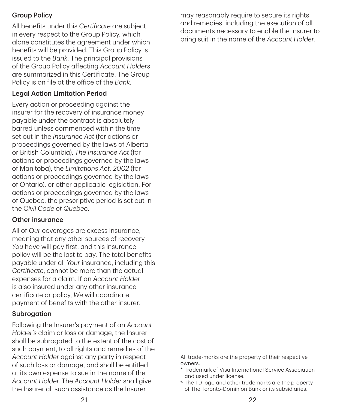#### Group Policy

All benefits under this *Certificate* are subject in every respect to the Group Policy, which alone constitutes the agreement under which benefits will be provided. This Group Policy is issued to the *Bank*. The principal provisions of the Group Policy affecting *Account Holders* are summarized in this Certificate. The Group Policy is on file at the office of the *Bank*.

#### Legal Action Limitation Period

Every action or proceeding against the insurer for the recovery of insurance money payable under the contract is absolutely barred unless commenced within the time set out in the *Insurance Act* (for actions or proceedings governed by the laws of Alberta or British Columbia), *The Insurance Act* (for actions or proceedings governed by the laws of Manitoba), the *Limitations Act, 2002* (for actions or proceedings governed by the laws of Ontario), or other applicable legislation. For actions or proceedings governed by the laws of Quebec, the prescriptive period is set out in the C*ivil Code of Quebec*.

#### Other insurance

All of *Our* coverages are excess insurance, meaning that any other sources of recovery *You* have will pay first, and this insurance policy will be the last to pay. The total benefits payable under all *Your* insurance, including this *Certificate*, cannot be more than the actual expenses for a claim. If an *Account Holder* is also insured under any other insurance certificate or policy, *We* will coordinate payment of benefits with the other insurer.

#### Subrogation

Following the Insurer's payment of an *Account Holder's* claim or loss or damage, the Insurer shall be subrogated to the extent of the cost of such payment, to all rights and remedies of the *Account Holder* against any party in respect of such loss or damage, and shall be entitled at its own expense to sue in the name of the *Account Holder*. The *Account Holder* shall give the Insurer all such assistance as the Insurer

may reasonably require to secure its rights and remedies, including the execution of all documents necessary to enable the Insurer to bring suit in the name of the *Account Holder*.

All trade‑marks are the property of their respective owners.

- \* Trademark of Visa International Service Association and used under license.
- ® The TD logo and other trademarks are the property of The Toronto‑Dominion Bank or its subsidiaries.